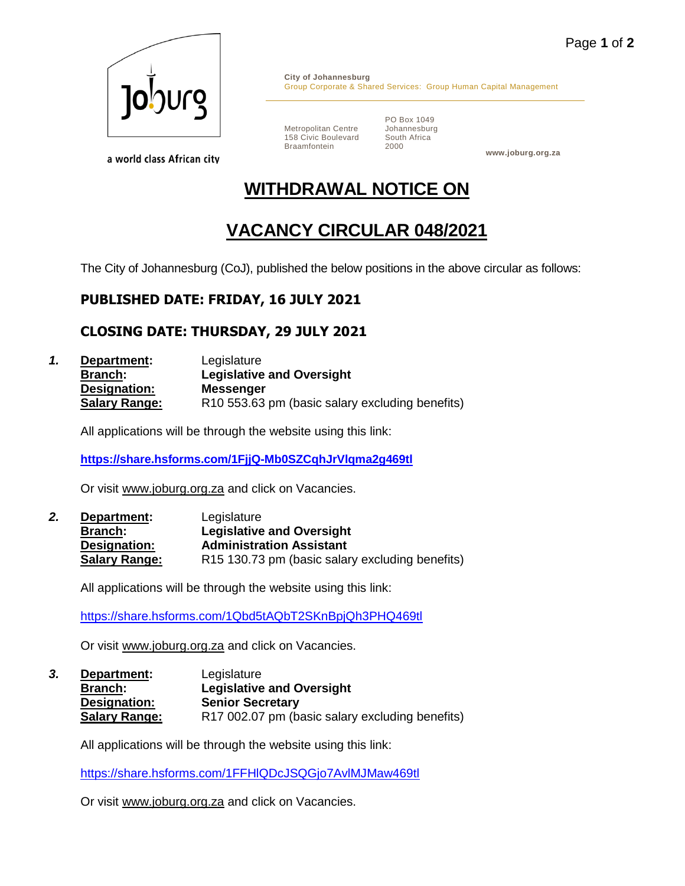

a world class African city

**City of Johannesburg** Group Corporate & Shared Services: Group Human Capital Management

Metropolitan Centre 158 Civic Boulevard Braamfontein

PO Box 1049 Johannesburg South Africa 2000

**www.joburg.org.za**

# **WITHDRAWAL NOTICE ON**

## **VACANCY CIRCULAR 048/2021**

The City of Johannesburg (CoJ), published the below positions in the above circular as follows:

### **PUBLISHED DATE: FRIDAY, 16 JULY 2021**

### **CLOSING DATE: THURSDAY, 29 JULY 2021**

*1.* **Department:** Legislature **Branch: Legislative and Oversight Designation: Messenger Salary Range:** R10 553.63 pm (basic salary excluding benefits)

All applications will be through the website using this link:

**<https://share.hsforms.com/1FjjQ-Mb0SZCqhJrVlqma2g469tl>**

Or visit [www.joburg.org.za](http://www.joburg.org.za/) and click on Vacancies.

*2.* **Department:** Legislature **Branch: Legislative and Oversight Designation: Administration Assistant Salary Range:** R15 130.73 pm (basic salary excluding benefits)

All applications will be through the website using this link:

<https://share.hsforms.com/1Qbd5tAQbT2SKnBpjQh3PHQ469tl>

Or visit [www.joburg.org.za](http://www.joburg.org.za/) and click on Vacancies.

*3.* **Department:** Legislature **Branch: Legislative and Oversight Designation: Senior Secretary** Salary Range: R17 002.07 pm (basic salary excluding benefits)

All applications will be through the website using this link:

<https://share.hsforms.com/1FFHlQDcJSQGjo7AvlMJMaw469tl>

Or visit [www.joburg.org.za](http://www.joburg.org.za/) and click on Vacancies.